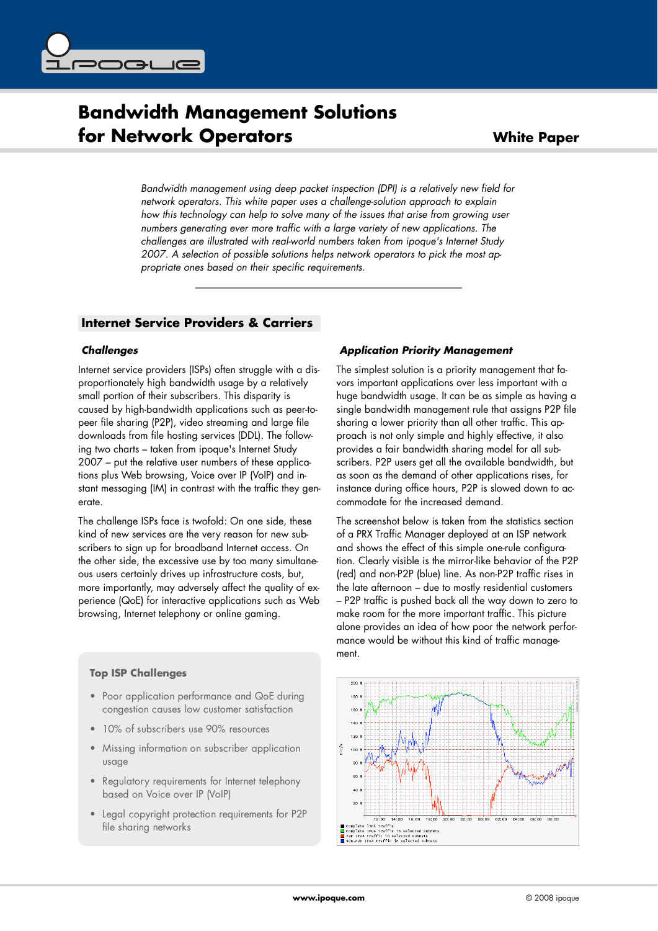

# **Bandwidth Management Solutions for Network Operators White Paper**

*Bandwidth management using deep packet inspection (DPI) is a relatively new field for network operators. This white paper uses a challenge*-*solution approach to explain how this technology can help to solve many of the issues that arise from growing user numbers generating ever more traffic with a large variety of new applications. The challenges are illustrated with real*-*world numbers taken from ipoque's Internet Study 2007. A selection of possible solutions helps network operators to pick the most appropriate ones based on their specific requirements.*

# **Internet Service Providers & Carriers**

## *Challenges*

Internet service providers (ISPs) often struggle with a disproportionately high bandwidth usage by a relatively small portion of their subscribers. This disparity is caused by high-bandwidth applications such as peer-topeer file sharing (P2P), video streaming and large file downloads from file hosting services (DDL). The following two charts – taken from ipoque's Internet Study 2007 – put the relative user numbers of these applications plus Web browsing, Voice over IP (VoIP) and instant messaging (IM) in contrast with the traffic they generate.

The challenge ISPs face is twofold: On one side, these kind of new services are the very reason for new subscribers to sign up for broadband Internet access. On the other side, the excessive use by too many simultaneous users certainly drives up infrastructure costs, but, more importantly, may adversely affect the quality of experience (QoE) for interactive applications such as Web browsing, Internet telephony or online gaming.

## **Top ISP Challenges**

- Poor application performance and QoE during congestion causes low customer satisfaction
- 10% of subscribers use 90% resources
- Missing information on subscriber application usage
- Regulatory requirements for Internet telephony based on Voice over IP (VoIP)
- Legal copyright protection requirements for P2P file sharing networks

## *Application Priority Management*

The simplest solution is a priority management that favors important applications over less important with a huge bandwidth usage. It can be as simple as having a single bandwidth management rule that assigns P2P file sharing a lower priority than all other traffic. This approach is not only simple and highly effective, it also provides a fair bandwidth sharing model for all subscribers. P2P users get all the available bandwidth, but as soon as the demand of other applications rises, for instance during office hours, P2P is slowed down to accommodate for the increased demand.

The screenshot below is taken from the statistics section of a PRX Traffic Manager deployed at an ISP network and shows the effect of this simple one-rule configuration. Clearly visible is the mirror-like behavior of the P2P (red) and non-P2P (blue) line. As non-P2P traffic rises in the late afternoon – due to mostly residential customers – P2P traffic is pushed back all the way down to zero to make room for the more important traffic. This picture alone provides an idea of how poor the network performance would be without this kind of traffic management.

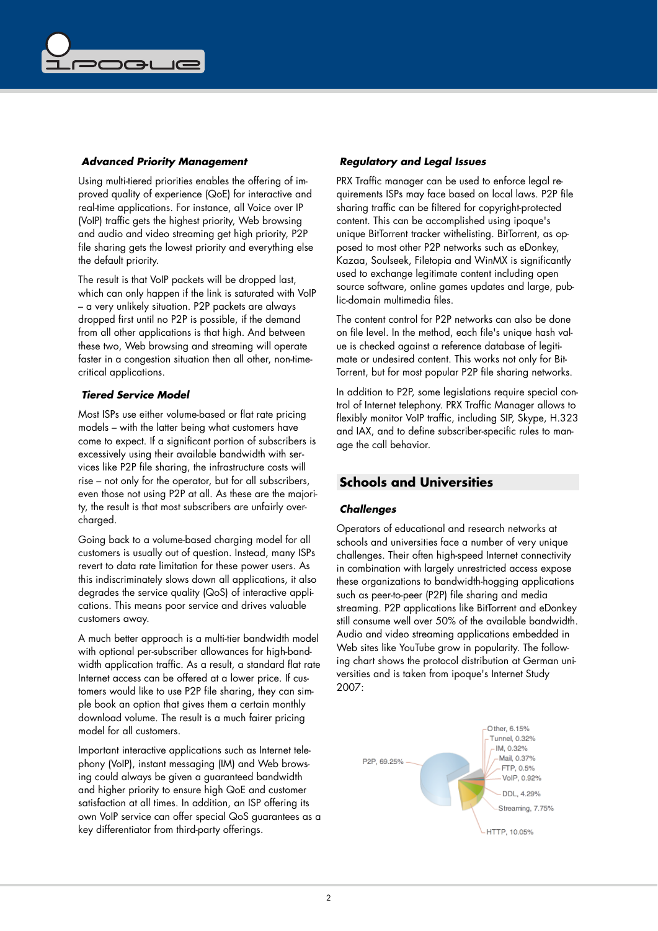

#### *Advanced Priority Management*

Using multi-tiered priorities enables the offering of improved quality of experience (QoE) for interactive and real-time applications. For instance, all Voice over IP (VoIP) traffic gets the highest priority, Web browsing and audio and video streaming get high priority, P2P file sharing gets the lowest priority and everything else the default priority.

The result is that VoIP packets will be dropped last, which can only happen if the link is saturated with VoIP – a very unlikely situation. P2P packets are always dropped first until no P2P is possible, if the demand from all other applications is that high. And between these two, Web browsing and streaming will operate faster in a congestion situation then all other, non-timecritical applications.

#### *Tiered Service Model*

Most ISPs use either volume-based or flat rate pricing models – with the latter being what customers have come to expect. If a significant portion of subscribers is excessively using their available bandwidth with services like P2P file sharing, the infrastructure costs will rise – not only for the operator, but for all subscribers, even those not using P2P at all. As these are the majority, the result is that most subscribers are unfairly overcharged.

Going back to a volume-based charging model for all customers is usually out of question. Instead, many ISPs revert to data rate limitation for these power users. As this indiscriminately slows down all applications, it also degrades the service quality (QoS) of interactive applications. This means poor service and drives valuable customers away.

A much better approach is a multi-tier bandwidth model with optional per-subscriber allowances for high-bandwidth application traffic. As a result, a standard flat rate Internet access can be offered at a lower price. If customers would like to use P2P file sharing, they can simple book an option that gives them a certain monthly download volume. The result is a much fairer pricing model for all customers.

Important interactive applications such as Internet telephony (VoIP), instant messaging (IM) and Web browsing could always be given a guaranteed bandwidth and higher priority to ensure high QoE and customer satisfaction at all times. In addition, an ISP offering its own VoIP service can offer special QoS guarantees as a key differentiator from third-party offerings.

#### *Regulatory and Legal Issues*

PRX Traffic manager can be used to enforce legal requirements ISPs may face based on local laws. P2P file sharing traffic can be filtered for copyright-protected content. This can be accomplished using ipoque's unique BitTorrent tracker withelisting. BitTorrent, as opposed to most other P2P networks such as eDonkey, Kazaa, Soulseek, Filetopia and WinMX is significantly used to exchange legitimate content including open source software, online games updates and large, public-domain multimedia files.

The content control for P2P networks can also be done on file level. In the method, each file's unique hash value is checked against a reference database of legitimate or undesired content. This works not only for Bit-Torrent, but for most popular P2P file sharing networks.

In addition to P2P, some legislations require special control of Internet telephony. PRX Traffic Manager allows to flexibly monitor VoIP traffic, including SIP, Skype, H.323 and IAX, and to define subscriber-specific rules to manage the call behavior.

## **Schools and Universities**

#### *Challenges*

Operators of educational and research networks at schools and universities face a number of very unique challenges. Their often high-speed Internet connectivity in combination with largely unrestricted access expose these organizations to bandwidth-hogging applications such as peer-to-peer (P2P) file sharing and media streaming. P2P applications like BitTorrent and eDonkey still consume well over 50% of the available bandwidth. Audio and video streaming applications embedded in Web sites like YouTube grow in popularity. The following chart shows the protocol distribution at German universities and is taken from ipoque's Internet Study 2007: